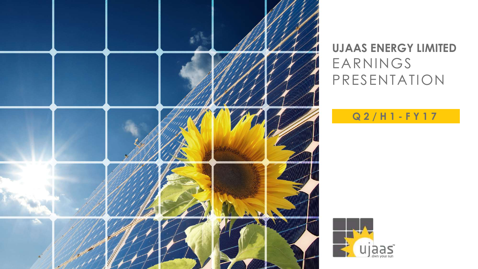

## **UJAAS ENERGY LIMITED** EARNINGS PRESENTATION

### **Q 2 / H 1 - F Y 1 7**

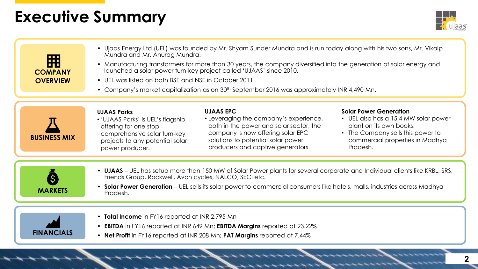## **Executive Summary**



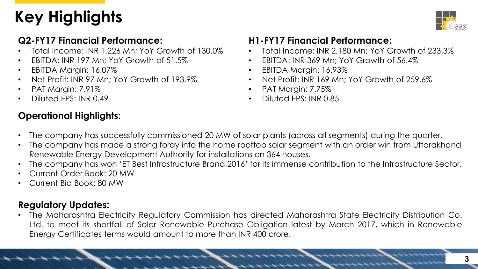# **Key Highlights**



#### **Q2-FY17 Financial Performance:**

- Total Income: INR 1,226 Mn; YoY Growth of 130.0%
- EBITDA: INR 197 Mn; YoY Growth of 51.5%
- EBITDA Margin: 16.07%
- Net Profit: INR 97 Mn; YoY Growth of 193.9%
- PAT Margin: 7.91%
- Diluted EPS: INR 0.49

### **Operational Highlights:**

#### **H1-FY17 Financial Performance:**

- Total Income: INR 2,180 Mn; YoY Growth of 233.3%
- EBITDA: INR 369 Mn; YoY Growth of 56.4%
- EBITDA Margin: 16.93%
- Net Profit: INR 169 Mn; YoY Growth of 259.6%
- PAT Margin: 7.75%
- Diluted EPS: INR 0.85
- The company has successfully commissioned 20 MW of solar plants (across all segments) during the quarter.
- The company has made a strong foray into the home rooftop solar segment with an order win from Uttarakhand Renewable Energy Development Authority for installations on 364 houses.
- The company has won 'ET Best Infrastructure Brand 2016' for its immense contribution to the Infrastructure Sector.
- Current Order Book: 20 MW
- Current Bid Book: 80 MW

### **Regulatory Updates:**

• The Maharashtra Electricity Regulatory Commission has directed Maharashtra State Electricity Distribution Co. Ltd. to meet its shortfall of Solar Renewable Purchase Obligation latest by March 2017, which in Renewable Energy Certificates terms would amount to more than INR 400 crore.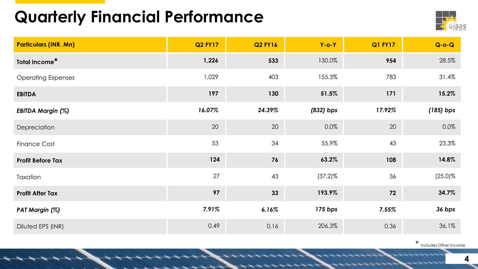# **Quarterly Financial Performance**



| <b>Particulars (INR. Mn)</b> | <b>Q2 FY17</b> | <b>Q2 FY16</b> | $Y$ -o- $Y$ | <b>Q1 FY17</b> | $Q-O-Q$     |
|------------------------------|----------------|----------------|-------------|----------------|-------------|
| Total Income*                | 1,226          | 533            | 130.0%      | 954            | 28.5%       |
| <b>Operating Expenses</b>    | 1,029          | 403            | 155.3%      | 783            | 31.4%       |
| <b>EBITDA</b>                | 197            | 130            | 51.5%       | 171            | 15.2%       |
| <b>EBITDA Margin (%)</b>     | 16.07%         | 24.39%         | $(832)$ bps | 17.92%         | $(185)$ bps |
| Depreciation                 | 20             | 20             | 0.0%        | 20             | $0.0\%$     |
| <b>Finance Cost</b>          | 53             | 34             | 55.9%       | 43             | 23.3%       |
| <b>Profit Before Tax</b>     | 124            | 76             | 63.2%       | 108            | 14.8%       |
| Taxation                     | 27             | 43             | $(37.2)\%$  | 36             | $(25.0)\%$  |
| <b>Profit After Tax</b>      | 97             | 33             | 193.9%      | 72             | 34.7%       |
| PAT Margin (%)               | 7.91%          | 6.16%          | 175 bps     | 7.55%          | 36 bps      |
| Diluted EPS (INR)            | 0.49           | 0.16           | 206.3%      | 0.36           | 36.1%       |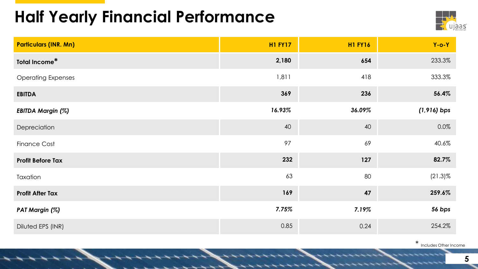# **Half Yearly Financial Performance**



| <b>Particulars (INR. Mn)</b> | <b>H1 FY17</b> | <b>H1 FY16</b> | $Y$ -o- $Y$    |
|------------------------------|----------------|----------------|----------------|
| Total Income*                | 2,180          | 654            | 233.3%         |
| <b>Operating Expenses</b>    | 1,811          | 418            | 333.3%         |
| <b>EBITDA</b>                | 369            | 236            | 56.4%          |
| <b>EBITDA Margin (%)</b>     | 16.93%         | 36.09%         | $(1, 916)$ bps |
| Depreciation                 | 40             | 40             | $0.0\%$        |
| <b>Finance Cost</b>          | 97             | 69             | 40.6%          |
| <b>Profit Before Tax</b>     | 232            | 127            | 82.7%          |
| Taxation                     | 63             | 80             | $(21.3)\%$     |
| <b>Profit After Tax</b>      | 169            | 47             | 259.6%         |
| PAT Margin (%)               | 7.75%          | 7.19%          | 56 bps         |
| Diluted EPS (INR)            | 0.85           | 0.24           | 254.2%         |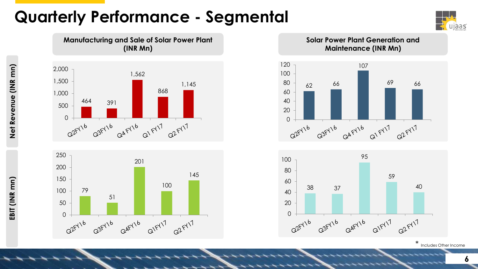# **Quarterly Performance - Segmental**

**Manufacturing and Sale of Solar Power Plant (INR Mn)**







**Solar Power Plant Generation and Maintenance (INR Mn)**



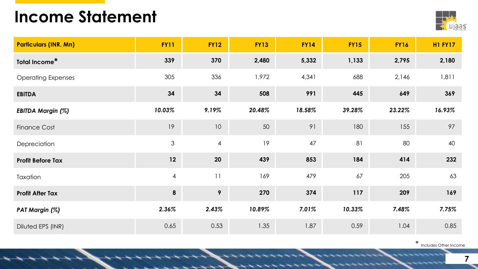## **Income Statement**



| <b>Particulars (INR. Mn)</b> | <b>FY11</b>      | <b>FY12</b>     | <b>FY13</b> | <b>FY14</b> | <b>FY15</b> | <b>FY16</b> | <b>H1 FY17</b> |
|------------------------------|------------------|-----------------|-------------|-------------|-------------|-------------|----------------|
| Total Income*                | 339              | 370             | 2,480       | 5,332       | 1,133       | 2,795       | 2,180          |
| <b>Operating Expenses</b>    | 305              | 336             | 1,972       | 4,341       | 688         | 2,146       | 1,811          |
| <b>EBITDA</b>                | 34               | 34              | 508         | 991         | 445         | 649         | 369            |
| <b>EBITDA Margin (%)</b>     | 10.03%           | 9.19%           | 20.48%      | 18.58%      | 39.28%      | 23.22%      | 16.93%         |
| <b>Finance Cost</b>          | 19               | 10              | 50          | 91          | 180         | 155         | 97             |
| Depreciation                 | $\mathfrak{S}$   | $\overline{4}$  | 19          | 47          | 81          | 80          | 40             |
| <b>Profit Before Tax</b>     | 12               | 20              | 439         | 853         | 184         | 414         | 232            |
| Taxation                     | $\overline{4}$   | 11              | 169         | 479         | 67          | 205         | 63             |
| <b>Profit After Tax</b>      | $\boldsymbol{8}$ | $9\overline{ }$ | 270         | 374         | 117         | 209         | 169            |
| PAT Margin (%)               | 2.36%            | 2.43%           | 10.89%      | 7.01%       | 10.33%      | 7.48%       | 7.75%          |
| Diluted EPS (INR)            | 0.65             | 0.53            | 1.35        | 1.87        | 0.59        | 1.04        | 0.85           |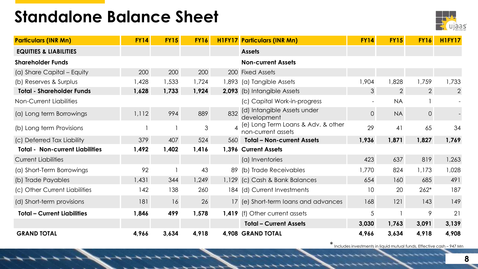## **Standalone Balance Sheet**



| <b>Particulars (INR Mn)</b>            | <b>FY14</b> | <b>FY15</b> | <b>FY16</b> |                        | <b>H1FY17 Particulars (INR Mn)</b>                       | <b>FY14</b>              | <b>FY15</b>    | <b>FY16</b>    | <b>H1FY17</b>  |
|----------------------------------------|-------------|-------------|-------------|------------------------|----------------------------------------------------------|--------------------------|----------------|----------------|----------------|
| <b>EQUITIES &amp; LIABILITIES</b>      |             |             |             |                        | <b>Assets</b>                                            |                          |                |                |                |
| <b>Shareholder Funds</b>               |             |             |             |                        | <b>Non-current Assets</b>                                |                          |                |                |                |
| (a) Share Capital - Equity             | 200         | 200         | 200         |                        | 200 Fixed Assets                                         |                          |                |                |                |
| (b) Reserves & Surplus                 | 428, ا      | 1,533       | 1,724       |                        | 1,893 (a) Tangible Assets                                | 1,904                    | 1,828          | 1,759          | 1,733          |
| <b>Total - Shareholder Funds</b>       | 1,628       | 1,733       | 1,924       |                        | 2,093 (b) Intangible Assets                              | 3                        | $\overline{2}$ | $\overline{2}$ | $\overline{2}$ |
| Non-Current Liabilities                |             |             |             |                        | (c) Capital Work-in-progress                             | $\overline{\phantom{a}}$ | <b>NA</b>      |                |                |
| (a) Long term Borrowings               | 1,112       | 994         | 889         | 832                    | (d) Intangible Assets under<br>development               | $\overline{O}$           | <b>NA</b>      | $\overline{O}$ |                |
| (b) Long term Provisions               |             |             | 3           | $\boldsymbol{\Lambda}$ | (e) Long Term Loans & Adv. & other<br>non-current assets | 29                       | 41             | 65             | 34             |
| (c) Deferred Tax Liability             | 379         | 407         | 524         | 560                    | <b>Total - Non-current Assets</b>                        | 1,936                    | 1,871          | 1,827          | 1,769          |
| <b>Total - Non-current Liabilities</b> | 1,492       | 1,402       | 1,416       |                        | 1,396 Current Assets                                     |                          |                |                |                |
| <b>Current Liabilities</b>             |             |             |             |                        | (a) Inventories                                          | 423                      | 637            | 819            | 1,263          |
| (a) Short-Term Borrowings              | 92          |             | 43          |                        | 89 (b) Trade Receivables                                 | 1,770                    | 824            | 1,173          | 1,028          |
| (b) Trade Payables                     | 1,431       | 344         | 1,249       | 1,129                  | (c) Cash & Bank Balances                                 | 654                      | 160            | 685            | 491            |
| (c) Other Current Liabilities          | 142         | 138         | 260         |                        | 184 (d) Current Investments                              | 10                       | 20             | $262*$         | 187            |
| (d) Short-term provisions              | 181         | 16          | 26          |                        | 17 (e) Short-term loans and advances                     | 168                      | 121            | 143            | 149            |
| <b>Total - Current Liabilities</b>     | 1,846       | 499         | 1,578       |                        | 1,419 (f) Other current assets                           | 5                        |                | 9              | 21             |
|                                        |             |             |             |                        | <b>Total - Current Assets</b>                            | 3,030                    | 1,763          | 3,091          | 3,139          |
| <b>GRAND TOTAL</b>                     | 4,966       | 3,634       | 4,918       |                        | 4,908 GRAND TOTAL                                        | 4,966                    | 3,634          | 4,918          | 4,908          |

\* Includes investments in liquid mutual funds, Effective cash – 947 Mn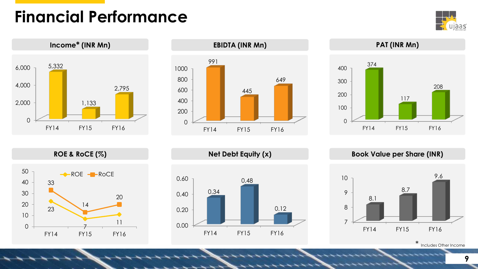# **Financial Performance**









**ROE & RoCE (%) Net Debt Equity (x) Book Value per Share (INR)**



\* Includes Other Income





0.00 0.20 0.40 0.60 0.34 0.48 0.12

FY14 FY15 FY16